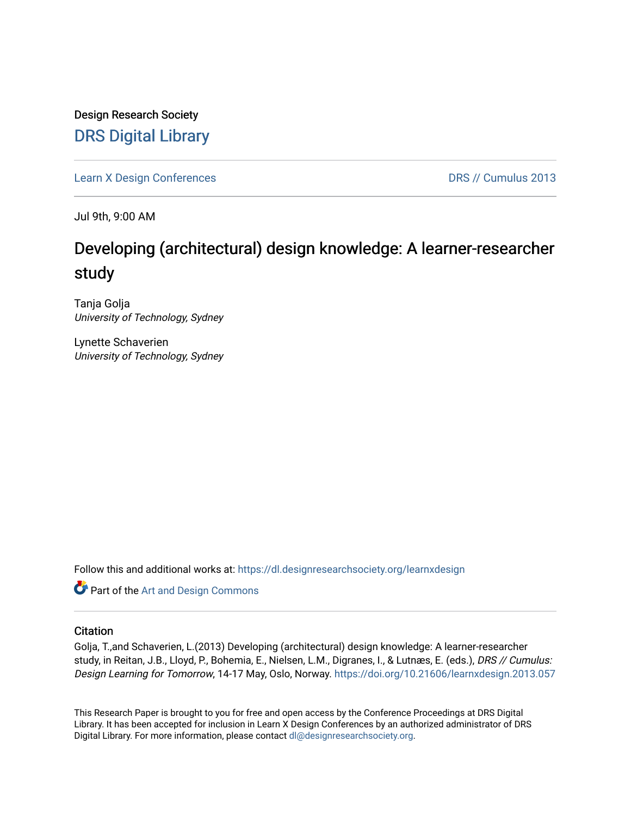Design Research Society [DRS Digital Library](https://dl.designresearchsociety.org/)

[Learn X Design Conferences](https://dl.designresearchsociety.org/learnxdesign) **DRS // Cumulus 2013** 

Jul 9th, 9:00 AM

# Developing (architectural) design knowledge: A learner-researcher study

Tanja Golja University of Technology, Sydney

Lynette Schaverien University of Technology, Sydney

Follow this and additional works at: [https://dl.designresearchsociety.org/learnxdesign](https://dl.designresearchsociety.org/learnxdesign?utm_source=dl.designresearchsociety.org%2Flearnxdesign%2Flearnxdesign2013%2Fresearchpapers%2F57&utm_medium=PDF&utm_campaign=PDFCoverPages)

**Part of the [Art and Design Commons](http://network.bepress.com/hgg/discipline/1049?utm_source=dl.designresearchsociety.org%2Flearnxdesign%2Flearnxdesign2013%2Fresearchpapers%2F57&utm_medium=PDF&utm_campaign=PDFCoverPages)** 

### **Citation**

Golja, T.,and Schaverien, L.(2013) Developing (architectural) design knowledge: A learner-researcher study, in Reitan, J.B., Lloyd, P., Bohemia, E., Nielsen, L.M., Digranes, I., & Lutnæs, E. (eds.), DRS // Cumulus: Design Learning for Tomorrow, 14-17 May, Oslo, Norway. <https://doi.org/10.21606/learnxdesign.2013.057>

This Research Paper is brought to you for free and open access by the Conference Proceedings at DRS Digital Library. It has been accepted for inclusion in Learn X Design Conferences by an authorized administrator of DRS Digital Library. For more information, please contact [dl@designresearchsociety.org](mailto:dl@designresearchsociety.org).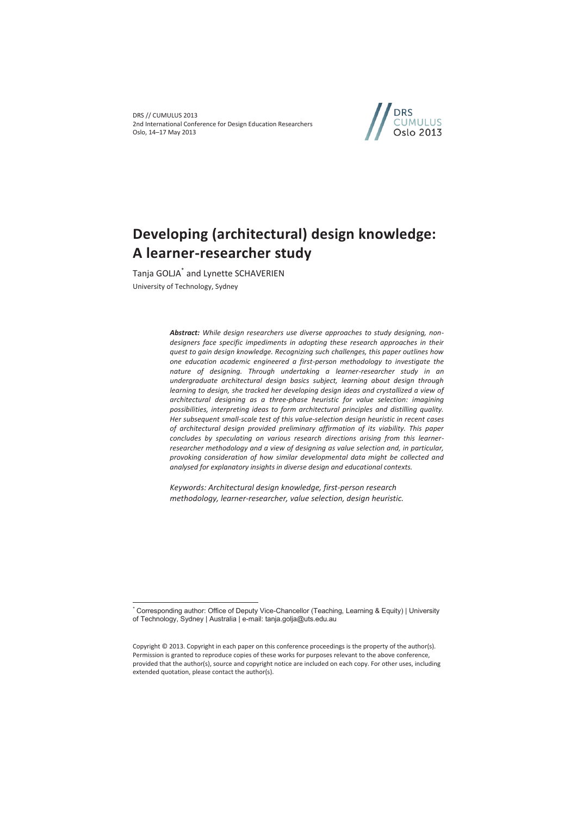DRS // CUMULUS 2013 2nd International Conference for Design Education Researchers Oslo, 14–17 May 2013



# **Developing (architectural) design knowledge: A learner-researcher study**

Tanja GOLJA\* and Lynette SCHAVERIEN University of Technology, Sydney

 $\overline{a}$ 

*Abstract: While design researchers use diverse approaches to study designing, nondesigners face specific impediments in adopting these research approaches in their quest to gain design knowledge. Recognizing such challenges, this paper outlines how one education academic engineered a first-person methodology to investigate the nature of designing. Through undertaking a learner-researcher study in an undergraduate architectural design basics subject, learning about design through learning to design, she tracked her developing design ideas and crystallized a view of architectural designing as a three-phase heuristic for value selection: imagining possibilities, interpreting ideas to form architectural principles and distilling quality. Her subsequent small-scale test of this value-selection design heuristic in recent cases of architectural design provided preliminary affirmation of its viability. This paper concludes by speculating on various research directions arising from this learnerresearcher methodology and a view of designing as value selection and, in particular, provoking consideration of how similar developmental data might be collected and analysed for explanatory insights in diverse design and educational contexts.* 

*Keywords: Architectural design knowledge, first-person research methodology, learner-researcher, value selection, design heuristic.* 

<sup>\*</sup> Corresponding author: Office of Deputy Vice-Chancellor (Teaching, Learning & Equity) | University of Technology, Sydney | Australia | e-mail: tanja.golja@uts.edu.au

Copyright © 2013. Copyright in each paper on this conference proceedings is the property of the author(s). Permission is granted to reproduce copies of these works for purposes relevant to the above conference, provided that the author(s), source and copyright notice are included on each copy. For other uses, including extended quotation, please contact the author(s).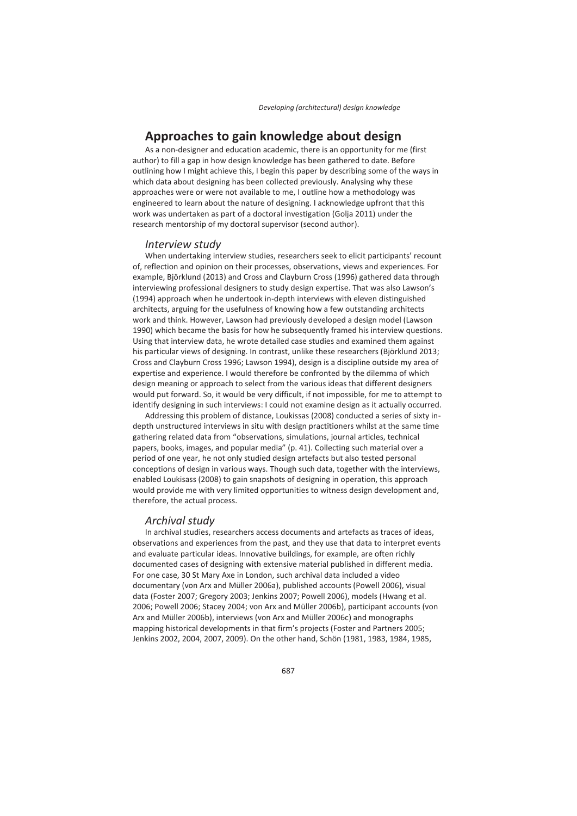### **Approaches to gain knowledge about design**

As a non-designer and education academic, there is an opportunity for me (first author) to fill a gap in how design knowledge has been gathered to date. Before outlining how I might achieve this, I begin this paper by describing some of the ways in which data about designing has been collected previously. Analysing why these approaches were or were not available to me, I outline how a methodology was engineered to learn about the nature of designing. I acknowledge upfront that this work was undertaken as part of a doctoral investigation (Golja 2011) under the research mentorship of my doctoral supervisor (second author).

#### *Interview study*

When undertaking interview studies, researchers seek to elicit participants' recount of, reflection and opinion on their processes, observations, views and experiences. For example, Björklund (2013) and Cross and Clayburn Cross (1996) gathered data through interviewing professional designers to study design expertise. That was also Lawson's (1994) approach when he undertook in-depth interviews with eleven distinguished architects, arguing for the usefulness of knowing how a few outstanding architects work and think. However, Lawson had previously developed a design model (Lawson 1990) which became the basis for how he subsequently framed his interview questions. Using that interview data, he wrote detailed case studies and examined them against his particular views of designing. In contrast, unlike these researchers (Björklund 2013; Cross and Clayburn Cross 1996; Lawson 1994), design is a discipline outside my area of expertise and experience. I would therefore be confronted by the dilemma of which design meaning or approach to select from the various ideas that different designers would put forward. So, it would be very difficult, if not impossible, for me to attempt to identify designing in such interviews: I could not examine design as it actually occurred.

Addressing this problem of distance, Loukissas (2008) conducted a series of sixty indepth unstructured interviews in situ with design practitioners whilst at the same time gathering related data from "observations, simulations, journal articles, technical papers, books, images, and popular media" (p. 41). Collecting such material over a period of one year, he not only studied design artefacts but also tested personal conceptions of design in various ways. Though such data, together with the interviews, enabled Loukisass (2008) to gain snapshots of designing in operation, this approach would provide me with very limited opportunities to witness design development and, therefore, the actual process.

#### *Archival study*

In archival studies, researchers access documents and artefacts as traces of ideas, observations and experiences from the past, and they use that data to interpret events and evaluate particular ideas. Innovative buildings, for example, are often richly documented cases of designing with extensive material published in different media. For one case, 30 St Mary Axe in London, such archival data included a video documentary (von Arx and Müller 2006a), published accounts (Powell 2006), visual data (Foster 2007; Gregory 2003; Jenkins 2007; Powell 2006), models (Hwang et al. 2006; Powell 2006; Stacey 2004; von Arx and Müller 2006b), participant accounts (von Arx and Müller 2006b), interviews (von Arx and Müller 2006c) and monographs mapping historical developments in that firm's projects (Foster and Partners 2005; Jenkins 2002, 2004, 2007, 2009). On the other hand, Schön (1981, 1983, 1984, 1985,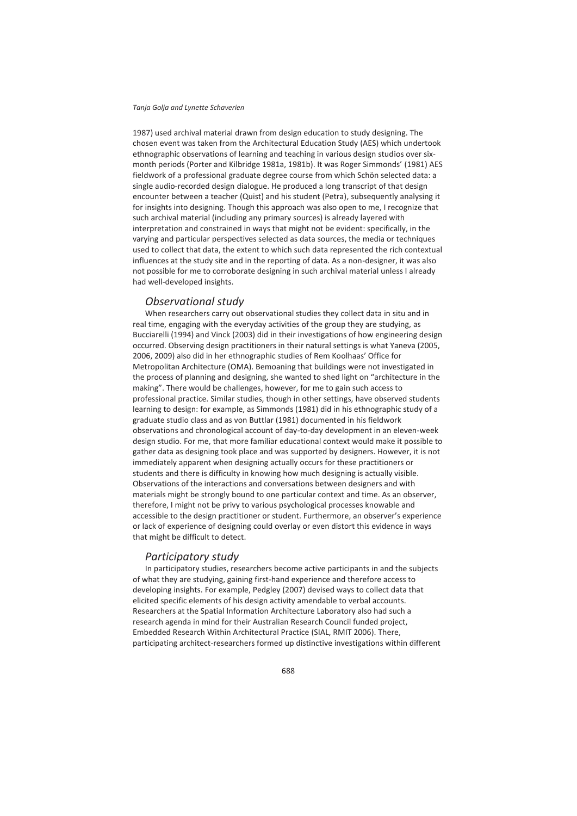1987) used archival material drawn from design education to study designing. The chosen event was taken from the Architectural Education Study (AES) which undertook ethnographic observations of learning and teaching in various design studios over sixmonth periods (Porter and Kilbridge 1981a, 1981b). It was Roger Simmonds' (1981) AES fieldwork of a professional graduate degree course from which Schön selected data: a single audio-recorded design dialogue. He produced a long transcript of that design encounter between a teacher (Quist) and his student (Petra), subsequently analysing it for insights into designing. Though this approach was also open to me, I recognize that such archival material (including any primary sources) is already layered with interpretation and constrained in ways that might not be evident: specifically, in the varying and particular perspectives selected as data sources, the media or techniques used to collect that data, the extent to which such data represented the rich contextual influences at the study site and in the reporting of data. As a non-designer, it was also not possible for me to corroborate designing in such archival material unless I already had well-developed insights.

#### *Observational study*

When researchers carry out observational studies they collect data in situ and in real time, engaging with the everyday activities of the group they are studying, as Bucciarelli (1994) and Vinck (2003) did in their investigations of how engineering design occurred. Observing design practitioners in their natural settings is what Yaneva (2005, 2006, 2009) also did in her ethnographic studies of Rem Koolhaas' Office for Metropolitan Architecture (OMA). Bemoaning that buildings were not investigated in the process of planning and designing, she wanted to shed light on "architecture in the making". There would be challenges, however, for me to gain such access to professional practice. Similar studies, though in other settings, have observed students learning to design: for example, as Simmonds (1981) did in his ethnographic study of a graduate studio class and as von Buttlar (1981) documented in his fieldwork observations and chronological account of day-to-day development in an eleven-week design studio. For me, that more familiar educational context would make it possible to gather data as designing took place and was supported by designers. However, it is not immediately apparent when designing actually occurs for these practitioners or students and there is difficulty in knowing how much designing is actually visible. Observations of the interactions and conversations between designers and with materials might be strongly bound to one particular context and time. As an observer, therefore, I might not be privy to various psychological processes knowable and accessible to the design practitioner or student. Furthermore, an observer's experience or lack of experience of designing could overlay or even distort this evidence in ways that might be difficult to detect.

#### *Participatory study*

In participatory studies, researchers become active participants in and the subjects of what they are studying, gaining first-hand experience and therefore access to developing insights. For example, Pedgley (2007) devised ways to collect data that elicited specific elements of his design activity amendable to verbal accounts. Researchers at the Spatial Information Architecture Laboratory also had such a research agenda in mind for their Australian Research Council funded project, Embedded Research Within Architectural Practice (SIAL, RMIT 2006). There, participating architect-researchers formed up distinctive investigations within different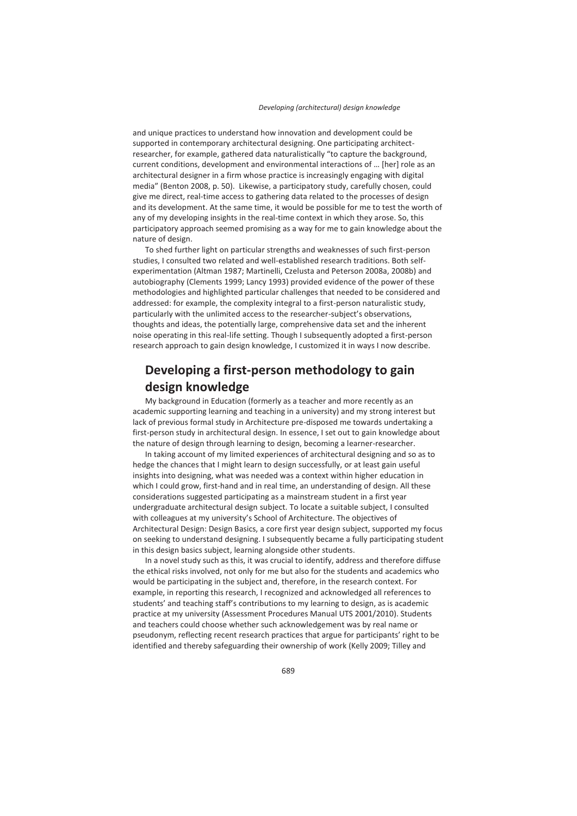and unique practices to understand how innovation and development could be supported in contemporary architectural designing. One participating architectresearcher, for example, gathered data naturalistically "to capture the background, current conditions, development and environmental interactions of … [her] role as an architectural designer in a firm whose practice is increasingly engaging with digital media" (Benton 2008, p. 50). Likewise, a participatory study, carefully chosen, could give me direct, real-time access to gathering data related to the processes of design and its development. At the same time, it would be possible for me to test the worth of any of my developing insights in the real-time context in which they arose. So, this participatory approach seemed promising as a way for me to gain knowledge about the nature of design.

To shed further light on particular strengths and weaknesses of such first-person studies, I consulted two related and well-established research traditions. Both selfexperimentation (Altman 1987; Martinelli, Czelusta and Peterson 2008a, 2008b) and autobiography (Clements 1999; Lancy 1993) provided evidence of the power of these methodologies and highlighted particular challenges that needed to be considered and addressed: for example, the complexity integral to a first-person naturalistic study, particularly with the unlimited access to the researcher-subject's observations, thoughts and ideas, the potentially large, comprehensive data set and the inherent noise operating in this real-life setting. Though I subsequently adopted a first-person research approach to gain design knowledge, I customized it in ways I now describe.

## **Developing a first-person methodology to gain design knowledge**

My background in Education (formerly as a teacher and more recently as an academic supporting learning and teaching in a university) and my strong interest but lack of previous formal study in Architecture pre-disposed me towards undertaking a first-person study in architectural design. In essence, I set out to gain knowledge about the nature of design through learning to design, becoming a learner-researcher.

In taking account of my limited experiences of architectural designing and so as to hedge the chances that I might learn to design successfully, or at least gain useful insights into designing, what was needed was a context within higher education in which I could grow, first-hand and in real time, an understanding of design. All these considerations suggested participating as a mainstream student in a first year undergraduate architectural design subject. To locate a suitable subject, I consulted with colleagues at my university's School of Architecture. The objectives of Architectural Design: Design Basics, a core first year design subject, supported my focus on seeking to understand designing. I subsequently became a fully participating student in this design basics subject, learning alongside other students.

In a novel study such as this, it was crucial to identify, address and therefore diffuse the ethical risks involved, not only for me but also for the students and academics who would be participating in the subject and, therefore, in the research context. For example, in reporting this research, I recognized and acknowledged all references to students' and teaching staff's contributions to my learning to design, as is academic practice at my university (Assessment Procedures Manual UTS 2001/2010). Students and teachers could choose whether such acknowledgement was by real name or pseudonym, reflecting recent research practices that argue for participants' right to be identified and thereby safeguarding their ownership of work (Kelly 2009; Tilley and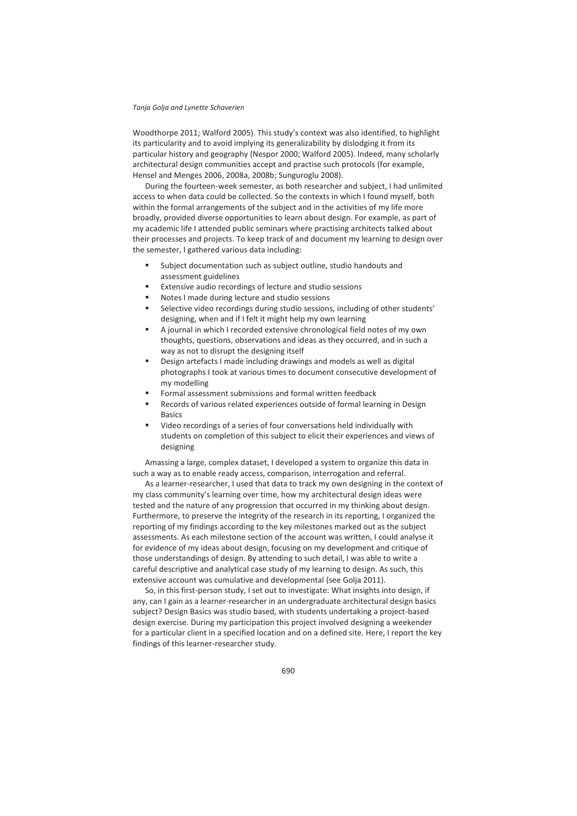Woodthorpe 2011; Walford 2005). This study's context was also identified, to highlight its particularity and to avoid implying its generalizability by dislodging it from its particular history and geography (Nespor 2000; Walford 2005). Indeed, many scholarly architectural design communities accept and practise such protocols (for example, Hensel and Menges 2006, 2008a, 2008b; Sunguroglu 2008).

During the fourteen-week semester, as both researcher and subject, I had unlimited access to when data could be collected. So the contexts in which I found myself, both within the formal arrangements of the subject and in the activities of my life more broadly, provided diverse opportunities to learn about design. For example, as part of my academic life I attended public seminars where practising architects talked about their processes and projects. To keep track of and document my learning to design over the semester, I gathered various data including:

- Subject documentation such as subject outline, studio handouts and assessment guidelines
- Extensive audio recordings of lecture and studio sessions
- Notes I made during lecture and studio sessions
- Selective video recordings during studio sessions, including of other students' designing, when and if I felt it might help my own learning
- A journal in which I recorded extensive chronological field notes of my own thoughts, questions, observations and ideas as they occurred, and in such a way as not to disrupt the designing itself
- Design artefacts I made including drawings and models as well as digital photographs I took at various times to document consecutive development of my modelling
- Formal assessment submissions and formal written feedback
- Records of various related experiences outside of formal learning in Design Basics
- Video recordings of a series of four conversations held individually with students on completion of this subject to elicit their experiences and views of designing

Amassing a large, complex dataset, I developed a system to organize this data in such a way as to enable ready access, comparison, interrogation and referral.

As a learner-researcher, I used that data to track my own designing in the context of my class community's learning over time, how my architectural design ideas were tested and the nature of any progression that occurred in my thinking about design. Furthermore, to preserve the integrity of the research in its reporting, I organized the reporting of my findings according to the key milestones marked out as the subject assessments. As each milestone section of the account was written, I could analyse it for evidence of my ideas about design, focusing on my development and critique of those understandings of design. By attending to such detail, I was able to write a careful descriptive and analytical case study of my learning to design. As such, this extensive account was cumulative and developmental (see Golja 2011).

So, in this first-person study, I set out to investigate: What insights into design, if any, can I gain as a learner-researcher in an undergraduate architectural design basics subject? Design Basics was studio based, with students undertaking a project-based design exercise. During my participation this project involved designing a weekender for a particular client in a specified location and on a defined site. Here, I report the key findings of this learner-researcher study.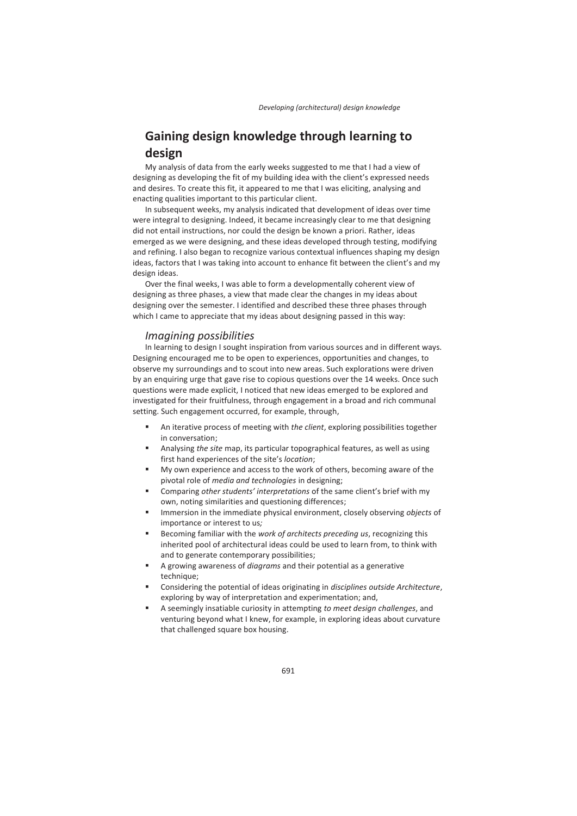## **Gaining design knowledge through learning to design**

My analysis of data from the early weeks suggested to me that I had a view of designing as developing the fit of my building idea with the client's expressed needs and desires. To create this fit, it appeared to me that I was eliciting, analysing and enacting qualities important to this particular client.

In subsequent weeks, my analysis indicated that development of ideas over time were integral to designing. Indeed, it became increasingly clear to me that designing did not entail instructions, nor could the design be known a priori. Rather, ideas emerged as we were designing, and these ideas developed through testing, modifying and refining. I also began to recognize various contextual influences shaping my design ideas, factors that I was taking into account to enhance fit between the client's and my design ideas.

Over the final weeks, I was able to form a developmentally coherent view of designing as three phases, a view that made clear the changes in my ideas about designing over the semester. I identified and described these three phases through which I came to appreciate that my ideas about designing passed in this way:

#### *Imagining possibilities*

In learning to design I sought inspiration from various sources and in different ways. Designing encouraged me to be open to experiences, opportunities and changes, to observe my surroundings and to scout into new areas. Such explorations were driven by an enquiring urge that gave rise to copious questions over the 14 weeks. Once such questions were made explicit, I noticed that new ideas emerged to be explored and investigated for their fruitfulness, through engagement in a broad and rich communal setting. Such engagement occurred, for example, through,

- An iterative process of meeting with *the client*, exploring possibilities together in conversation;
- Analysing *the site* map, its particular topographical features, as well as using first hand experiences of the site's *location*;
- My own experience and access to the work of others, becoming aware of the pivotal role of *media and technologies* in designing;
- Comparing *other students' interpretations* of the same client's brief with my own, noting similarities and questioning differences;
- Immersion in the immediate physical environment, closely observing *objects* of importance or interest to us*;*
- Becoming familiar with the *work of architects preceding us*, recognizing this inherited pool of architectural ideas could be used to learn from, to think with and to generate contemporary possibilities;
- A growing awareness of *diagrams* and their potential as a generative technique:
- Considering the potential of ideas originating in *disciplines outside Architecture*, exploring by way of interpretation and experimentation; and,
- A seemingly insatiable curiosity in attempting *to meet design challenges*, and venturing beyond what I knew, for example, in exploring ideas about curvature that challenged square box housing.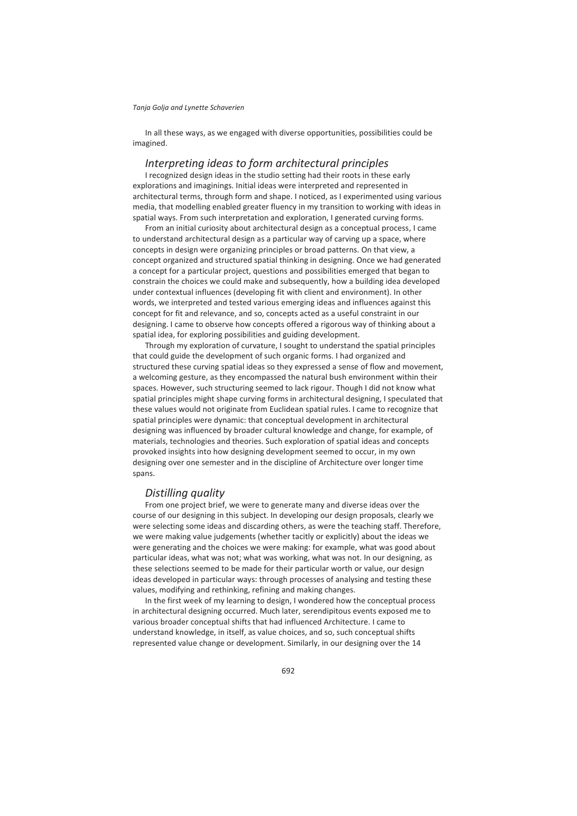In all these ways, as we engaged with diverse opportunities, possibilities could be imagined.

#### *Interpreting ideas to form architectural principles*

I recognized design ideas in the studio setting had their roots in these early explorations and imaginings. Initial ideas were interpreted and represented in architectural terms, through form and shape. I noticed, as I experimented using various media, that modelling enabled greater fluency in my transition to working with ideas in spatial ways. From such interpretation and exploration, I generated curving forms.

From an initial curiosity about architectural design as a conceptual process, I came to understand architectural design as a particular way of carving up a space, where concepts in design were organizing principles or broad patterns. On that view, a concept organized and structured spatial thinking in designing. Once we had generated a concept for a particular project, questions and possibilities emerged that began to constrain the choices we could make and subsequently, how a building idea developed under contextual influences (developing fit with client and environment). In other words, we interpreted and tested various emerging ideas and influences against this concept for fit and relevance, and so, concepts acted as a useful constraint in our designing. I came to observe how concepts offered a rigorous way of thinking about a spatial idea, for exploring possibilities and guiding development.

Through my exploration of curvature, I sought to understand the spatial principles that could guide the development of such organic forms. I had organized and structured these curving spatial ideas so they expressed a sense of flow and movement, a welcoming gesture, as they encompassed the natural bush environment within their spaces. However, such structuring seemed to lack rigour. Though I did not know what spatial principles might shape curving forms in architectural designing, I speculated that these values would not originate from Euclidean spatial rules. I came to recognize that spatial principles were dynamic: that conceptual development in architectural designing was influenced by broader cultural knowledge and change, for example, of materials, technologies and theories. Such exploration of spatial ideas and concepts provoked insights into how designing development seemed to occur, in my own designing over one semester and in the discipline of Architecture over longer time spans.

#### *Distilling quality*

From one project brief, we were to generate many and diverse ideas over the course of our designing in this subject. In developing our design proposals, clearly we were selecting some ideas and discarding others, as were the teaching staff. Therefore, we were making value judgements (whether tacitly or explicitly) about the ideas we were generating and the choices we were making: for example, what was good about particular ideas, what was not; what was working, what was not. In our designing, as these selections seemed to be made for their particular worth or value, our design ideas developed in particular ways: through processes of analysing and testing these values, modifying and rethinking, refining and making changes.

In the first week of my learning to design, I wondered how the conceptual process in architectural designing occurred. Much later, serendipitous events exposed me to various broader conceptual shifts that had influenced Architecture. I came to understand knowledge, in itself, as value choices, and so, such conceptual shifts represented value change or development. Similarly, in our designing over the 14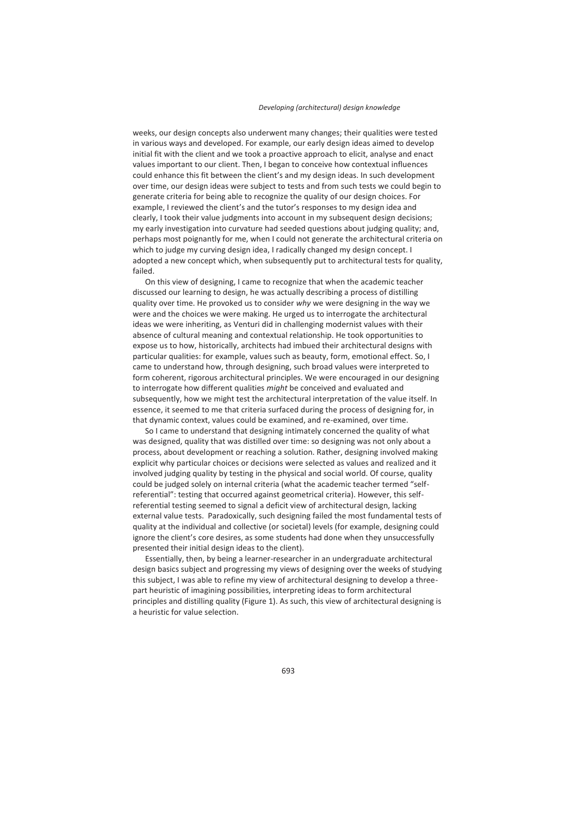weeks, our design concepts also underwent many changes; their qualities were tested in various ways and developed. For example, our early design ideas aimed to develop initial fit with the client and we took a proactive approach to elicit, analyse and enact values important to our client. Then, I began to conceive how contextual influences could enhance this fit between the client's and my design ideas. In such development over time, our design ideas were subject to tests and from such tests we could begin to generate criteria for being able to recognize the quality of our design choices. For example, I reviewed the client's and the tutor's responses to my design idea and clearly, I took their value judgments into account in my subsequent design decisions; my early investigation into curvature had seeded questions about judging quality; and, perhaps most poignantly for me, when I could not generate the architectural criteria on which to judge my curving design idea, I radically changed my design concept. I adopted a new concept which, when subsequently put to architectural tests for quality, failed.

On this view of designing, I came to recognize that when the academic teacher discussed our learning to design, he was actually describing a process of distilling quality over time. He provoked us to consider *why* we were designing in the way we were and the choices we were making. He urged us to interrogate the architectural ideas we were inheriting, as Venturi did in challenging modernist values with their absence of cultural meaning and contextual relationship. He took opportunities to expose us to how, historically, architects had imbued their architectural designs with particular qualities: for example, values such as beauty, form, emotional effect. So, I came to understand how, through designing, such broad values were interpreted to form coherent, rigorous architectural principles. We were encouraged in our designing to interrogate how different qualities *might* be conceived and evaluated and subsequently, how we might test the architectural interpretation of the value itself. In essence, it seemed to me that criteria surfaced during the process of designing for, in that dynamic context, values could be examined, and re-examined, over time.

So I came to understand that designing intimately concerned the quality of what was designed, quality that was distilled over time: so designing was not only about a process, about development or reaching a solution. Rather, designing involved making explicit why particular choices or decisions were selected as values and realized and it involved judging quality by testing in the physical and social world. Of course, quality could be judged solely on internal criteria (what the academic teacher termed "selfreferential": testing that occurred against geometrical criteria). However, this selfreferential testing seemed to signal a deficit view of architectural design, lacking external value tests. Paradoxically, such designing failed the most fundamental tests of quality at the individual and collective (or societal) levels (for example, designing could ignore the client's core desires, as some students had done when they unsuccessfully presented their initial design ideas to the client).

Essentially, then, by being a learner-researcher in an undergraduate architectural design basics subject and progressing my views of designing over the weeks of studying this subject, I was able to refine my view of architectural designing to develop a threepart heuristic of imagining possibilities, interpreting ideas to form architectural principles and distilling quality (Figure 1). As such, this view of architectural designing is a heuristic for value selection.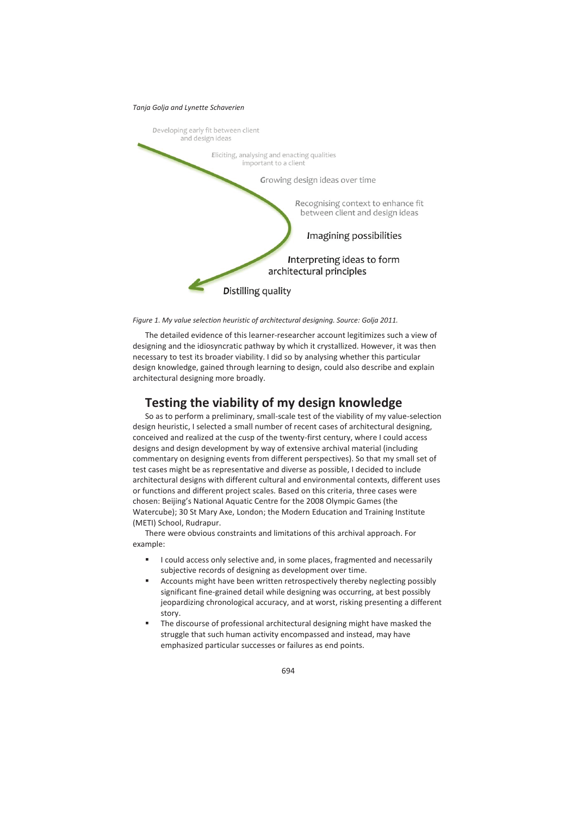

*Figure 1. My value selection heuristic of architectural designing. Source: Golja 2011.* 

The detailed evidence of this learner-researcher account legitimizes such a view of designing and the idiosyncratic pathway by which it crystallized. However, it was then necessary to test its broader viability. I did so by analysing whether this particular design knowledge, gained through learning to design, could also describe and explain architectural designing more broadly.

## **Testing the viability of my design knowledge**

So as to perform a preliminary, small-scale test of the viability of my value-selection design heuristic, I selected a small number of recent cases of architectural designing, conceived and realized at the cusp of the twenty-first century, where I could access designs and design development by way of extensive archival material (including commentary on designing events from different perspectives). So that my small set of test cases might be as representative and diverse as possible, I decided to include architectural designs with different cultural and environmental contexts, different uses or functions and different project scales. Based on this criteria, three cases were chosen: Beijing's National Aquatic Centre for the 2008 Olympic Games (the Watercube); 30 St Mary Axe, London; the Modern Education and Training Institute (METI) School, Rudrapur.

There were obvious constraints and limitations of this archival approach. For example:

- I could access only selective and, in some places, fragmented and necessarily subjective records of designing as development over time.
- Accounts might have been written retrospectively thereby neglecting possibly significant fine-grained detail while designing was occurring, at best possibly jeopardizing chronological accuracy, and at worst, risking presenting a different story.
- The discourse of professional architectural designing might have masked the struggle that such human activity encompassed and instead, may have emphasized particular successes or failures as end points.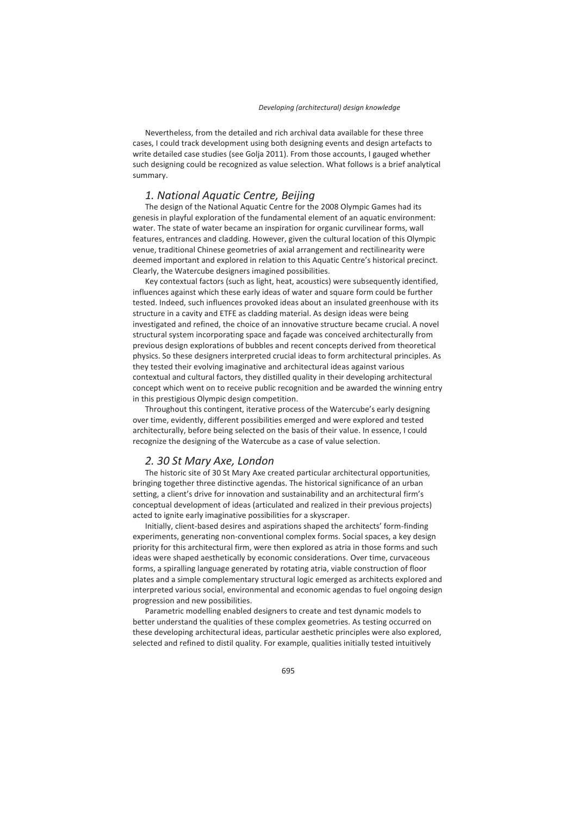Nevertheless, from the detailed and rich archival data available for these three cases, I could track development using both designing events and design artefacts to write detailed case studies (see Golja 2011). From those accounts, I gauged whether such designing could be recognized as value selection. What follows is a brief analytical summary.

### *1. National Aquatic Centre, Beijing*

The design of the National Aquatic Centre for the 2008 Olympic Games had its genesis in playful exploration of the fundamental element of an aquatic environment: water. The state of water became an inspiration for organic curvilinear forms, wall features, entrances and cladding. However, given the cultural location of this Olympic venue, traditional Chinese geometries of axial arrangement and rectilinearity were deemed important and explored in relation to this Aquatic Centre's historical precinct. Clearly, the Watercube designers imagined possibilities.

Key contextual factors (such as light, heat, acoustics) were subsequently identified, influences against which these early ideas of water and square form could be further tested. Indeed, such influences provoked ideas about an insulated greenhouse with its structure in a cavity and ETFE as cladding material. As design ideas were being investigated and refined, the choice of an innovative structure became crucial. A novel structural system incorporating space and façade was conceived architecturally from previous design explorations of bubbles and recent concepts derived from theoretical physics. So these designers interpreted crucial ideas to form architectural principles. As they tested their evolving imaginative and architectural ideas against various contextual and cultural factors, they distilled quality in their developing architectural concept which went on to receive public recognition and be awarded the winning entry in this prestigious Olympic design competition.

Throughout this contingent, iterative process of the Watercube's early designing over time, evidently, different possibilities emerged and were explored and tested architecturally, before being selected on the basis of their value. In essence, I could recognize the designing of the Watercube as a case of value selection.

#### *2. 30 St Mary Axe, London*

The historic site of 30 St Mary Axe created particular architectural opportunities, bringing together three distinctive agendas. The historical significance of an urban setting, a client's drive for innovation and sustainability and an architectural firm's conceptual development of ideas (articulated and realized in their previous projects) acted to ignite early imaginative possibilities for a skyscraper.

Initially, client-based desires and aspirations shaped the architects' form-finding experiments, generating non-conventional complex forms. Social spaces, a key design priority for this architectural firm, were then explored as atria in those forms and such ideas were shaped aesthetically by economic considerations. Over time, curvaceous forms, a spiralling language generated by rotating atria, viable construction of floor plates and a simple complementary structural logic emerged as architects explored and interpreted various social, environmental and economic agendas to fuel ongoing design progression and new possibilities.

Parametric modelling enabled designers to create and test dynamic models to better understand the qualities of these complex geometries. As testing occurred on these developing architectural ideas, particular aesthetic principles were also explored, selected and refined to distil quality. For example, qualities initially tested intuitively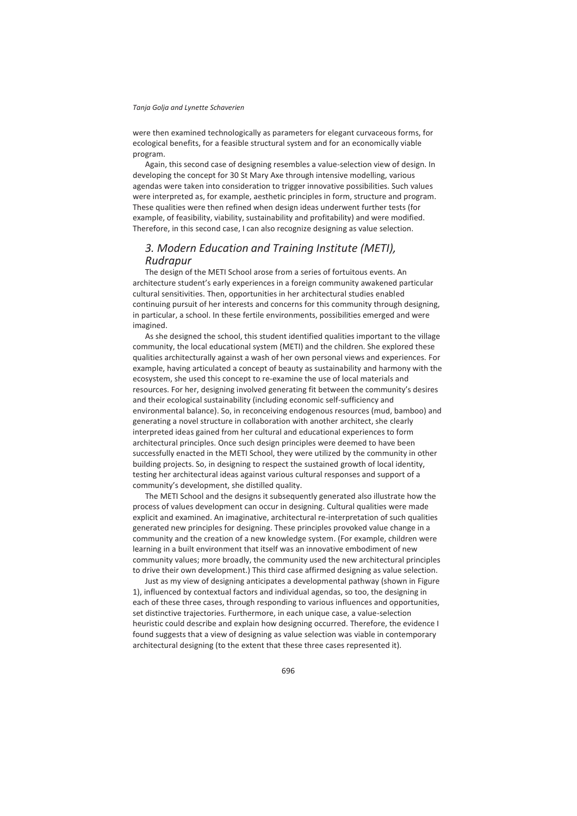were then examined technologically as parameters for elegant curvaceous forms, for ecological benefits, for a feasible structural system and for an economically viable program.

Again, this second case of designing resembles a value-selection view of design. In developing the concept for 30 St Mary Axe through intensive modelling, various agendas were taken into consideration to trigger innovative possibilities. Such values were interpreted as, for example, aesthetic principles in form, structure and program. These qualities were then refined when design ideas underwent further tests (for example, of feasibility, viability, sustainability and profitability) and were modified. Therefore, in this second case, I can also recognize designing as value selection.

### *3. Modern Education and Training Institute (METI), Rudrapur*

The design of the METI School arose from a series of fortuitous events. An architecture student's early experiences in a foreign community awakened particular cultural sensitivities. Then, opportunities in her architectural studies enabled continuing pursuit of her interests and concerns for this community through designing, in particular, a school. In these fertile environments, possibilities emerged and were imagined.

As she designed the school, this student identified qualities important to the village community, the local educational system (METI) and the children. She explored these qualities architecturally against a wash of her own personal views and experiences. For example, having articulated a concept of beauty as sustainability and harmony with the ecosystem, she used this concept to re-examine the use of local materials and resources. For her, designing involved generating fit between the community's desires and their ecological sustainability (including economic self-sufficiency and environmental balance). So, in reconceiving endogenous resources (mud, bamboo) and generating a novel structure in collaboration with another architect, she clearly interpreted ideas gained from her cultural and educational experiences to form architectural principles. Once such design principles were deemed to have been successfully enacted in the METI School, they were utilized by the community in other building projects. So, in designing to respect the sustained growth of local identity, testing her architectural ideas against various cultural responses and support of a community's development, she distilled quality.

The METI School and the designs it subsequently generated also illustrate how the process of values development can occur in designing. Cultural qualities were made explicit and examined. An imaginative, architectural re-interpretation of such qualities generated new principles for designing. These principles provoked value change in a community and the creation of a new knowledge system. (For example, children were learning in a built environment that itself was an innovative embodiment of new community values; more broadly, the community used the new architectural principles to drive their own development.) This third case affirmed designing as value selection.

Just as my view of designing anticipates a developmental pathway (shown in Figure 1), influenced by contextual factors and individual agendas, so too, the designing in each of these three cases, through responding to various influences and opportunities, set distinctive trajectories. Furthermore, in each unique case, a value-selection heuristic could describe and explain how designing occurred. Therefore, the evidence I found suggests that a view of designing as value selection was viable in contemporary architectural designing (to the extent that these three cases represented it).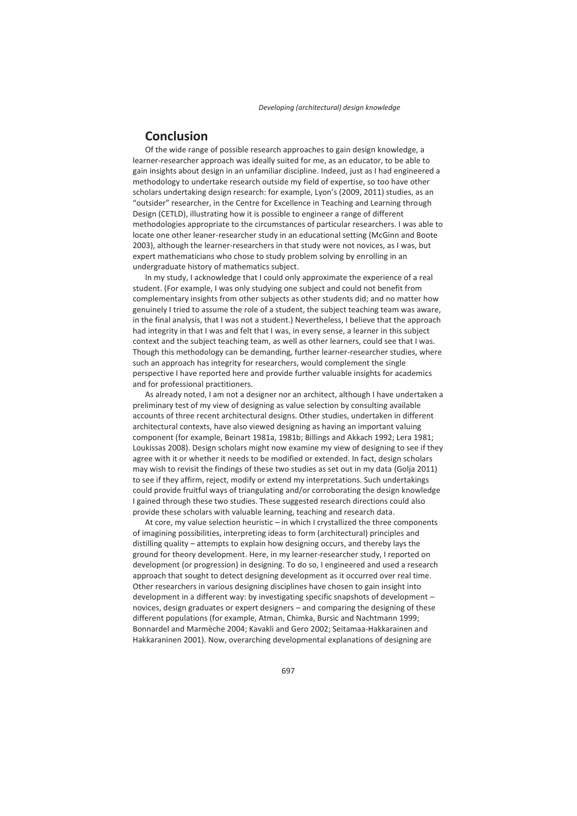### **Conclusion**

Of the wide range of possible research approaches to gain design knowledge, a learner-researcher approach was ideally suited for me, as an educator, to be able to gain insights about design in an unfamiliar discipline. Indeed, just as I had engineered a methodology to undertake research outside my field of expertise, so too have other scholars undertaking design research: for example, Lyon's (2009, 2011) studies, as an "outsider" researcher, in the Centre for Excellence in Teaching and Learning through Design (CETLD), illustrating how it is possible to engineer a range of different methodologies appropriate to the circumstances of particular researchers. I was able to locate one other leaner-researcher study in an educational setting (McGinn and Boote 2003), although the learner-researchers in that study were not novices, as I was, but expert mathematicians who chose to study problem solving by enrolling in an undergraduate history of mathematics subject.

In my study, I acknowledge that I could only approximate the experience of a real student. (For example, I was only studying one subject and could not benefit from complementary insights from other subjects as other students did; and no matter how genuinely I tried to assume the role of a student, the subject teaching team was aware, in the final analysis, that I was not a student.) Nevertheless, I believe that the approach had integrity in that I was and felt that I was, in every sense, a learner in this subject context and the subject teaching team, as well as other learners, could see that I was. Though this methodology can be demanding, further learner-researcher studies, where such an approach has integrity for researchers, would complement the single perspective I have reported here and provide further valuable insights for academics and for professional practitioners.

As already noted, I am not a designer nor an architect, although I have undertaken a preliminary test of my view of designing as value selection by consulting available accounts of three recent architectural designs. Other studies, undertaken in different architectural contexts, have also viewed designing as having an important valuing component (for example, Beinart 1981a, 1981b; Billings and Akkach 1992; Lera 1981; Loukissas 2008). Design scholars might now examine my view of designing to see if they agree with it or whether it needs to be modified or extended. In fact, design scholars may wish to revisit the findings of these two studies as set out in my data (Golja 2011) to see if they affirm, reject, modify or extend my interpretations. Such undertakings could provide fruitful ways of triangulating and/or corroborating the design knowledge I gained through these two studies. These suggested research directions could also provide these scholars with valuable learning, teaching and research data.

At core, my value selection heuristic – in which I crystallized the three components of imagining possibilities, interpreting ideas to form (architectural) principles and distilling quality – attempts to explain how designing occurs, and thereby lays the ground for theory development. Here, in my learner-researcher study, I reported on development (or progression) in designing. To do so, I engineered and used a research approach that sought to detect designing development as it occurred over real time. Other researchers in various designing disciplines have chosen to gain insight into development in a different way: by investigating specific snapshots of development – novices, design graduates or expert designers – and comparing the designing of these different populations (for example, Atman, Chimka, Bursic and Nachtmann 1999; Bonnardel and Marmèche 2004; Kavakli and Gero 2002; Seitamaa-Hakkarainen and Hakkaraninen 2001). Now, overarching developmental explanations of designing are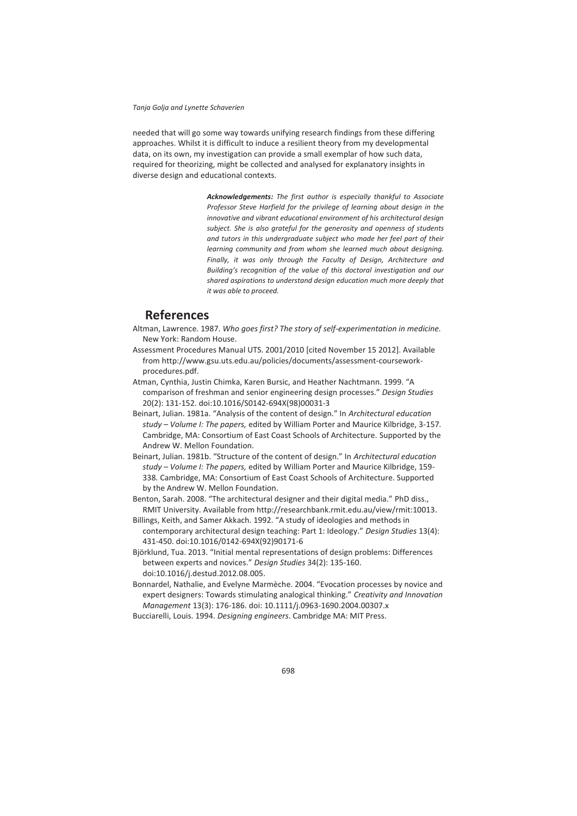needed that will go some way towards unifying research findings from these differing approaches. Whilst it is difficult to induce a resilient theory from my developmental data, on its own, my investigation can provide a small exemplar of how such data, required for theorizing, might be collected and analysed for explanatory insights in diverse design and educational contexts.

> *Acknowledgements: The first author is especially thankful to Associate Professor Steve Harfield for the privilege of learning about design in the innovative and vibrant educational environment of his architectural design subject. She is also grateful for the generosity and openness of students and tutors in this undergraduate subject who made her feel part of their learning community and from whom she learned much about designing. Finally, it was only through the Faculty of Design, Architecture and Building's recognition of the value of this doctoral investigation and our shared aspirations to understand design education much more deeply that it was able to proceed.*

### **References**

- Altman, Lawrence. 1987. *Who goes first? The story of self-experimentation in medicine.* New York: Random House.
- Assessment Procedures Manual UTS. 2001/2010 [cited November 15 2012]. Available from http://www.gsu.uts.edu.au/policies/documents/assessment-courseworkprocedures.pdf.
- Atman, Cynthia, Justin Chimka, Karen Bursic, and Heather Nachtmann. 1999. "A comparison of freshman and senior engineering design processes." *Design Studies*  20(2): 131-152. doi:10.1016/S0142-694X(98)00031-3
- Beinart, Julian. 1981a. "Analysis of the content of design." In *Architectural education study – Volume I: The papers,* edited by William Porter and Maurice Kilbridge, 3-157*.* Cambridge, MA: Consortium of East Coast Schools of Architecture. Supported by the Andrew W. Mellon Foundation.
- Beinart, Julian. 1981b. "Structure of the content of design." In *Architectural education study – Volume I: The papers,* edited by William Porter and Maurice Kilbridge, 159- 338*.* Cambridge, MA: Consortium of East Coast Schools of Architecture. Supported by the Andrew W. Mellon Foundation.
- Benton, Sarah. 2008. "The architectural designer and their digital media." PhD diss., RMIT University. Available from http://researchbank.rmit.edu.au/view/rmit:10013.
- Billings, Keith, and Samer Akkach. 1992. "A study of ideologies and methods in contemporary architectural design teaching: Part 1: Ideology." *Design Studies* 13(4): 431-450. doi:10.1016/0142-694X(92)90171-6
- Björklund, Tua. 2013. "Initial mental representations of design problems: Differences between experts and novices." *Design Studies* 34(2): 135-160. doi:10.1016/j.destud.2012.08.005.
- Bonnardel, Nathalie, and Evelyne Marmèche. 2004. "Evocation processes by novice and expert designers: Towards stimulating analogical thinking." *Creativity and Innovation Management* 13(3): 176-186. doi: 10.1111/j.0963-1690.2004.00307.x
- Bucciarelli, Louis. 1994. *Designing engineers*. Cambridge MA: MIT Press.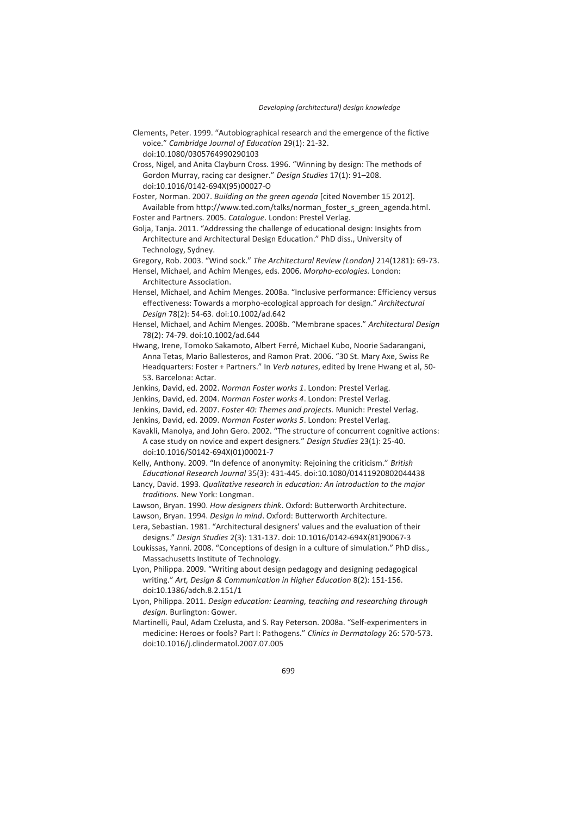- Clements, Peter. 1999. "Autobiographical research and the emergence of the fictive voice." *Cambridge Journal of Education* 29(1): 21-32. doi:10.1080/0305764990290103
- Cross, Nigel, and Anita Clayburn Cross. 1996. "Winning by design: The methods of Gordon Murray, racing car designer." *Design Studies* 17(1): 91–208. doi:10.1016/0142-694X(95)00027-O

Foster, Norman. 2007. *Building on the green agenda* [cited November 15 2012]. Available from http://www.ted.com/talks/norman\_foster\_s\_green\_agenda.html.

Foster and Partners. 2005. *Catalogue*. London: Prestel Verlag.

Golja, Tanja. 2011. "Addressing the challenge of educational design: Insights from Architecture and Architectural Design Education." PhD diss., University of Technology, Sydney.

Gregory, Rob. 2003. "Wind sock." *The Architectural Review (London)* 214(1281): 69-73.

- Hensel, Michael, and Achim Menges, eds. 2006. *Morpho-ecologies.* London: Architecture Association.
- Hensel, Michael, and Achim Menges. 2008a. "Inclusive performance: Efficiency versus effectiveness: Towards a morpho-ecological approach for design." *Architectural Design* 78(2): 54-63. doi:10.1002/ad.642
- Hensel, Michael, and Achim Menges. 2008b. "Membrane spaces." *Architectural Design*  78(2): 74-79. doi:10.1002/ad.644
- Hwang, Irene, Tomoko Sakamoto, Albert Ferré, Michael Kubo, Noorie Sadarangani, Anna Tetas, Mario Ballesteros, and Ramon Prat. 2006. "30 St. Mary Axe, Swiss Re Headquarters: Foster + Partners." In *Verb natures*, edited by Irene Hwang et al, 50- 53. Barcelona: Actar.
- Jenkins, David, ed. 2002. *Norman Foster works 1*. London: Prestel Verlag.
- Jenkins, David, ed. 2004. *Norman Foster works 4*. London: Prestel Verlag.
- Jenkins, David, ed. 2007. *Foster 40: Themes and projects.* Munich: Prestel Verlag.
- Jenkins, David, ed. 2009. *Norman Foster works 5*. London: Prestel Verlag.

Kavakli, Manolya, and John Gero. 2002. "The structure of concurrent cognitive actions: A case study on novice and expert designers." *Design Studies* 23(1): 25-40. doi:10.1016/S0142-694X(01)00021-7

- Kelly, Anthony. 2009. "In defence of anonymity: Rejoining the criticism." *British Educational Research Journal* 35(3): 431-445. doi:10.1080/01411920802044438
- Lancy, David. 1993. *Qualitative research in education: An introduction to the major traditions.* New York: Longman.
- Lawson, Bryan. 1990. *How designers think*. Oxford: Butterworth Architecture.
- Lawson, Bryan. 1994. *Design in mind*. Oxford: Butterworth Architecture.

Lera, Sebastian. 1981. "Architectural designers' values and the evaluation of their designs." *Design Studies* 2(3): 131-137. doi: 10.1016/0142-694X(81)90067-3

- Loukissas, Yanni. 2008. "Conceptions of design in a culture of simulation." PhD diss., Massachusetts Institute of Technology.
- Lyon, Philippa. 2009. "Writing about design pedagogy and designing pedagogical writing." *Art, Design & Communication in Higher Education* 8(2): 151-156. doi:10.1386/adch.8.2.151/1
- Lyon, Philippa. 2011. *Design education: Learning, teaching and researching through design.* Burlington: Gower.
- Martinelli, Paul, Adam Czelusta, and S. Ray Peterson. 2008a. "Self-experimenters in medicine: Heroes or fools? Part I: Pathogens." *Clinics in Dermatology* 26: 570-573. doi:10.1016/j.clindermatol.2007.07.005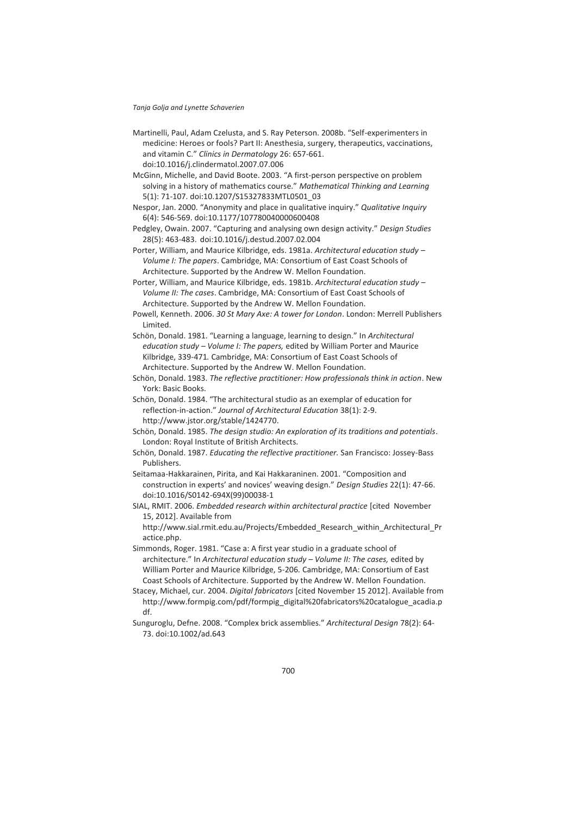- Martinelli, Paul, Adam Czelusta, and S. Ray Peterson. 2008b. "Self-experimenters in medicine: Heroes or fools? Part II: Anesthesia, surgery, therapeutics, vaccinations, and vitamin C." *Clinics in Dermatology* 26: 657-661. doi:10.1016/j.clindermatol.2007.07.006
- McGinn, Michelle, and David Boote. 2003. "A first-person perspective on problem

solving in a history of mathematics course." *Mathematical Thinking and Learning*  5(1): 71-107. doi:10.1207/S15327833MTL0501\_03

Nespor, Jan. 2000. "Anonymity and place in qualitative inquiry." *Qualitative Inquiry*  6(4): 546-569. doi:10.1177/107780040000600408

Pedgley, Owain. 2007. "Capturing and analysing own design activity." *Design Studies*  28(5): 463-483. doi:10.1016/j.destud.2007.02.004

Porter, William, and Maurice Kilbridge, eds. 1981a. *Architectural education study – Volume I: The papers*. Cambridge, MA: Consortium of East Coast Schools of Architecture. Supported by the Andrew W. Mellon Foundation.

Porter, William, and Maurice Kilbridge, eds. 1981b. *Architectural education study – Volume II: The cases*. Cambridge, MA: Consortium of East Coast Schools of Architecture. Supported by the Andrew W. Mellon Foundation.

Powell, Kenneth. 2006. *30 St Mary Axe: A tower for London*. London: Merrell Publishers Limited.

Schön, Donald. 1981. "Learning a language, learning to design." In *Architectural education study – Volume I: The papers,* edited by William Porter and Maurice Kilbridge, 339-471*.* Cambridge, MA: Consortium of East Coast Schools of Architecture. Supported by the Andrew W. Mellon Foundation.

- Schön, Donald. 1983. *The reflective practitioner: How professionals think in action*. New York: Basic Books.
- Schön, Donald. 1984. "The architectural studio as an exemplar of education for reflection-in-action." *Journal of Architectural Education* 38(1): 2-9. http://www.jstor.org/stable/1424770.

Schön, Donald. 1985. *The design studio: An exploration of its traditions and potentials*. London: Royal Institute of British Architects.

Schön, Donald. 1987. *Educating the reflective practitioner.* San Francisco: Jossey-Bass Publishers.

Seitamaa-Hakkarainen, Pirita, and Kai Hakkaraninen. 2001. "Composition and construction in experts' and novices' weaving design." *Design Studies* 22(1): 47-66. doi:10.1016/S0142-694X(99)00038-1

SIAL, RMIT. 2006. *Embedded research within architectural practice* [cited November 15, 2012]. Available from

http://www.sial.rmit.edu.au/Projects/Embedded\_Research\_within\_Architectural\_Pr actice.php.

- Simmonds, Roger. 1981. "Case a: A first year studio in a graduate school of architecture." In *Architectural education study – Volume II: The cases,* edited by William Porter and Maurice Kilbridge, 5-206*.* Cambridge, MA: Consortium of East Coast Schools of Architecture. Supported by the Andrew W. Mellon Foundation.
- Stacey, Michael, cur. 2004. *Digital fabricators* [cited November 15 2012]. Available from http://www.formpig.com/pdf/formpig\_digital%20fabricators%20catalogue\_acadia.p df.
- Sunguroglu, Defne. 2008. "Complex brick assemblies." *Architectural Design* 78(2): 64- 73. doi:10.1002/ad.643